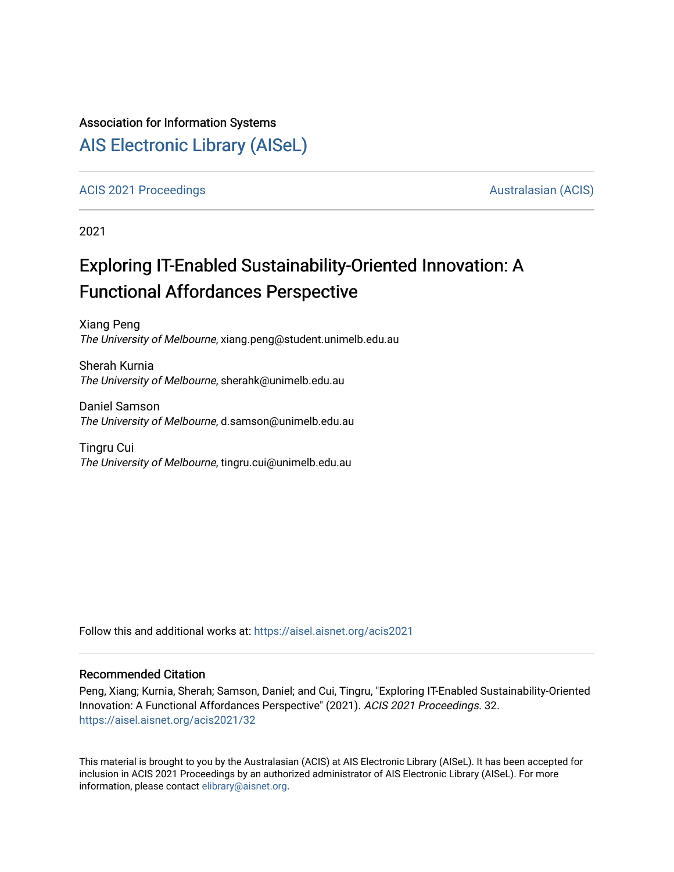### Association for Information Systems

## [AIS Electronic Library \(AISeL\)](https://aisel.aisnet.org/)

#### [ACIS 2021 Proceedings](https://aisel.aisnet.org/acis2021) [Australasian \(ACIS\)](https://aisel.aisnet.org/acis) Australasian (ACIS)

2021

# Exploring IT-Enabled Sustainability-Oriented Innovation: A Functional Affordances Perspective

Xiang Peng The University of Melbourne, xiang.peng@student.unimelb.edu.au

Sherah Kurnia The University of Melbourne, sherahk@unimelb.edu.au

Daniel Samson The University of Melbourne, d.samson@unimelb.edu.au

Tingru Cui The University of Melbourne, tingru.cui@unimelb.edu.au

Follow this and additional works at: [https://aisel.aisnet.org/acis2021](https://aisel.aisnet.org/acis2021?utm_source=aisel.aisnet.org%2Facis2021%2F32&utm_medium=PDF&utm_campaign=PDFCoverPages) 

#### Recommended Citation

Peng, Xiang; Kurnia, Sherah; Samson, Daniel; and Cui, Tingru, "Exploring IT-Enabled Sustainability-Oriented Innovation: A Functional Affordances Perspective" (2021). ACIS 2021 Proceedings. 32. [https://aisel.aisnet.org/acis2021/32](https://aisel.aisnet.org/acis2021/32?utm_source=aisel.aisnet.org%2Facis2021%2F32&utm_medium=PDF&utm_campaign=PDFCoverPages)

This material is brought to you by the Australasian (ACIS) at AIS Electronic Library (AISeL). It has been accepted for inclusion in ACIS 2021 Proceedings by an authorized administrator of AIS Electronic Library (AISeL). For more information, please contact [elibrary@aisnet.org.](mailto:elibrary@aisnet.org%3E)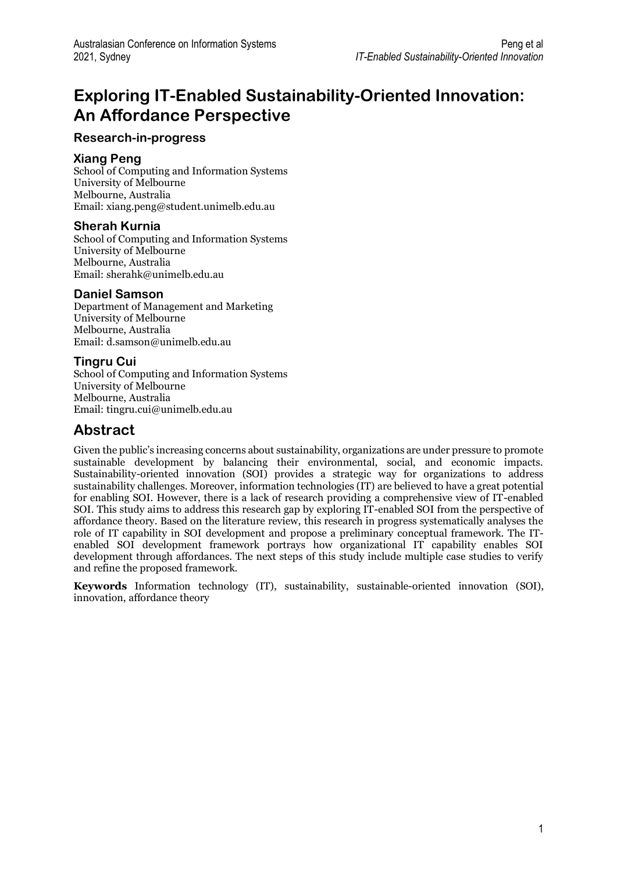# **Exploring IT-Enabled Sustainability-Oriented Innovation: An Affordance Perspective**

### **Research-in-progress**

#### **Xiang Peng**

School of Computing and Information Systems University of Melbourne Melbourne, Australia Email: xiang.peng@student.unimelb.edu.au

### **Sherah Kurnia**

School of Computing and Information Systems University of Melbourne Melbourne, Australia Email: sherahk@unimelb.edu.au

### **Daniel Samson**

Department of Management and Marketing University of Melbourne Melbourne, Australia Email: d.samson@unimelb.edu.au

#### **Tingru Cui**

School of Computing and Information Systems University of Melbourne Melbourne, Australia Email: tingru.cui@unimelb.edu.au

### **Abstract**

Given the public's increasing concerns about sustainability, organizations are under pressure to promote sustainable development by balancing their environmental, social, and economic impacts. Sustainability-oriented innovation (SOI) provides a strategic way for organizations to address sustainability challenges. Moreover, information technologies (IT) are believed to have a great potential for enabling SOI. However, there is a lack of research providing a comprehensive view of IT-enabled SOI. This study aims to address this research gap by exploring IT-enabled SOI from the perspective of affordance theory. Based on the literature review, this research in progress systematically analyses the role of IT capability in SOI development and propose a preliminary conceptual framework. The ITenabled SOI development framework portrays how organizational IT capability enables SOI development through affordances. The next steps of this study include multiple case studies to verify and refine the proposed framework.

**Keywords** Information technology (IT), sustainability, sustainable-oriented innovation (SOI), innovation, affordance theory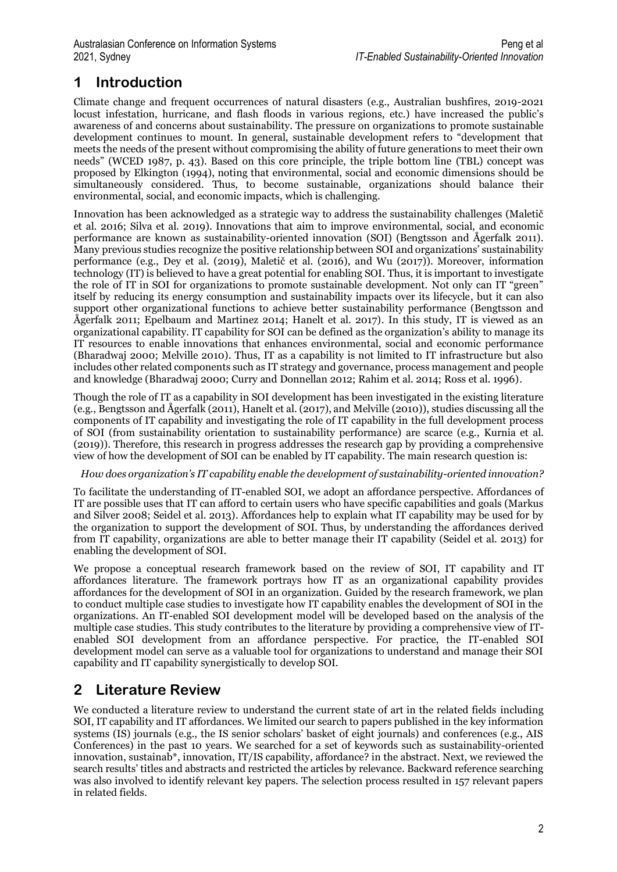# **1 Introduction**

Climate change and frequent occurrences of natural disasters (e.g., Australian bushfires, 2019-2021 locust infestation, hurricane, and flash floods in various regions, etc.) have increased the public's awareness of and concerns about sustainability. The pressure on organizations to promote sustainable development continues to mount. In general, sustainable development refers to "development that meets the needs of the present without compromising the ability of future generations to meet their own needs" (WCED 1987, p. 43). Based on this core principle, the triple bottom line (TBL) concept was proposed by Elkington (1994), noting that environmental, social and economic dimensions should be simultaneously considered. Thus, to become sustainable, organizations should balance their environmental, social, and economic impacts, which is challenging.

Innovation has been acknowledged as a strategic way to address the sustainability challenges (Maletič et al. 2016; Silva et al. 2019). Innovations that aim to improve environmental, social, and economic performance are known as sustainability-oriented innovation (SOI) (Bengtsson and Ågerfalk 2011). Many previous studies recognize the positive relationship between SOI and organizations' sustainability performance (e.g., Dey et al. (2019), Maletič et al. (2016), and Wu (2017)). Moreover, information technology (IT) is believed to have a great potential for enabling SOI. Thus, it is important to investigate the role of IT in SOI for organizations to promote sustainable development. Not only can IT "green" itself by reducing its energy consumption and sustainability impacts over its lifecycle, but it can also support other organizational functions to achieve better sustainability performance (Bengtsson and Ågerfalk 2011; Epelbaum and Martinez 2014; Hanelt et al. 2017). In this study, IT is viewed as an organizational capability. IT capability for SOI can be defined as the organization's ability to manage its IT resources to enable innovations that enhances environmental, social and economic performance (Bharadwaj 2000; Melville 2010). Thus, IT as a capability is not limited to IT infrastructure but also includes other related components such as IT strategy and governance, process management and people and knowledge (Bharadwaj 2000; Curry and Donnellan 2012; Rahim et al. 2014; Ross et al. 1996).

Though the role of IT as a capability in SOI development has been investigated in the existing literature (e.g., Bengtsson and Ågerfalk (2011), Hanelt et al. (2017), and Melville (2010)), studies discussing all the components of IT capability and investigating the role of IT capability in the full development process of SOI (from sustainability orientation to sustainability performance) are scarce (e.g., Kurnia et al. (2019)). Therefore, this research in progress addresses the research gap by providing a comprehensive view of how the development of SOI can be enabled by IT capability. The main research question is:

#### *How does organization's IT capability enable the development of sustainability-oriented innovation?*

To facilitate the understanding of IT-enabled SOI, we adopt an affordance perspective. Affordances of IT are possible uses that IT can afford to certain users who have specific capabilities and goals (Markus and Silver 2008; Seidel et al. 2013). Affordances help to explain what IT capability may be used for by the organization to support the development of SOI. Thus, by understanding the affordances derived from IT capability, organizations are able to better manage their IT capability (Seidel et al. 2013) for enabling the development of SOI.

We propose a conceptual research framework based on the review of SOI, IT capability and IT affordances literature. The framework portrays how IT as an organizational capability provides affordances for the development of SOI in an organization. Guided by the research framework, we plan to conduct multiple case studies to investigate how IT capability enables the development of SOI in the organizations. An IT-enabled SOI development model will be developed based on the analysis of the multiple case studies. This study contributes to the literature by providing a comprehensive view of ITenabled SOI development from an affordance perspective. For practice, the IT-enabled SOI development model can serve as a valuable tool for organizations to understand and manage their SOI capability and IT capability synergistically to develop SOI.

### **2 Literature Review**

We conducted a literature review to understand the current state of art in the related fields including SOI, IT capability and IT affordances. We limited our search to papers published in the key information systems (IS) journals (e.g., the IS senior scholars' basket of eight journals) and conferences (e.g., AIS Conferences) in the past 10 years. We searched for a set of keywords such as sustainability-oriented innovation, sustainab\*, innovation, IT/IS capability, affordance? in the abstract. Next, we reviewed the search results' titles and abstracts and restricted the articles by relevance. Backward reference searching was also involved to identify relevant key papers. The selection process resulted in 157 relevant papers in related fields.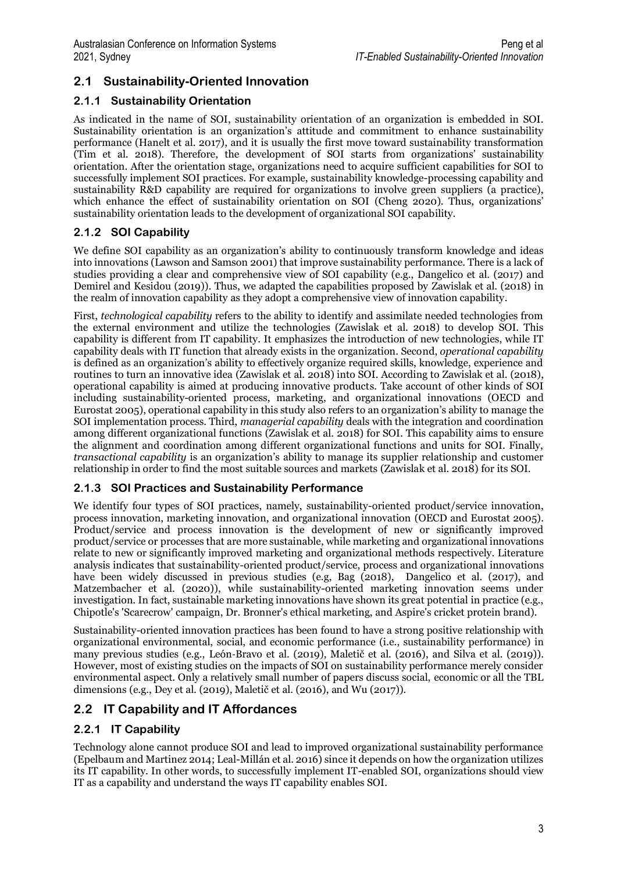### **2.1 Sustainability-Oriented Innovation**

### **2.1.1 Sustainability Orientation**

As indicated in the name of SOI, sustainability orientation of an organization is embedded in SOI. Sustainability orientation is an organization's attitude and commitment to enhance sustainability performance (Hanelt et al. 2017), and it is usually the first move toward sustainability transformation (Tim et al. 2018). Therefore, the development of SOI starts from organizations' sustainability orientation. After the orientation stage, organizations need to acquire sufficient capabilities for SOI to successfully implement SOI practices. For example, sustainability knowledge-processing capability and sustainability R&D capability are required for organizations to involve green suppliers (a practice), which enhance the effect of sustainability orientation on SOI (Cheng 2020). Thus, organizations' sustainability orientation leads to the development of organizational SOI capability.

### **2.1.2 SOI Capability**

We define SOI capability as an organization's ability to continuously transform knowledge and ideas into innovations (Lawson and Samson 2001) that improve sustainability performance. There is a lack of studies providing a clear and comprehensive view of SOI capability (e.g., Dangelico et al. (2017) and Demirel and Kesidou (2019)). Thus, we adapted the capabilities proposed by Zawislak et al. (2018) in the realm of innovation capability as they adopt a comprehensive view of innovation capability.

First, *technological capability* refers to the ability to identify and assimilate needed technologies from the external environment and utilize the technologies (Zawislak et al. 2018) to develop SOI. This capability is different from IT capability. It emphasizes the introduction of new technologies, while IT capability deals with IT function that already exists in the organization. Second, *operational capability* is defined as an organization's ability to effectively organize required skills, knowledge, experience and routines to turn an innovative idea (Zawislak et al. 2018) into SOI. According to Zawislak et al. (2018), operational capability is aimed at producing innovative products. Take account of other kinds of SOI including sustainability-oriented process, marketing, and organizational innovations (OECD and Eurostat 2005), operational capability in this study also refers to an organization's ability to manage the SOI implementation process. Third, *managerial capability* deals with the integration and coordination among different organizational functions (Zawislak et al. 2018) for SOI. This capability aims to ensure the alignment and coordination among different organizational functions and units for SOI. Finally, *transactional capability* is an organization's ability to manage its supplier relationship and customer relationship in order to find the most suitable sources and markets (Zawislak et al. 2018) for its SOI.

### **2.1.3 SOI Practices and Sustainability Performance**

We identify four types of SOI practices, namely, sustainability-oriented product/service innovation, process innovation, marketing innovation, and organizational innovation (OECD and Eurostat 2005). Product/service and process innovation is the development of new or significantly improved product/service or processes that are more sustainable, while marketing and organizational innovations relate to new or significantly improved marketing and organizational methods respectively. Literature analysis indicates that sustainability-oriented product/service, process and organizational innovations have been widely discussed in previous studies (e.g. Bag (2018), Dangelico et al. (2017), and Matzembacher et al. (2020)), while sustainability-oriented marketing innovation seems under investigation. In fact, sustainable marketing innovations have shown its great potential in practice (e.g., Chipotle's 'Scarecrow' campaign, Dr. Bronner's ethical marketing, and Aspire's cricket protein brand).

Sustainability-oriented innovation practices has been found to have a strong positive relationship with organizational environmental, social, and economic performance (i.e., sustainability performance) in many previous studies (e.g., León‐Bravo et al. (2019), Maletič et al. (2016), and Silva et al. (2019)). However, most of existing studies on the impacts of SOI on sustainability performance merely consider environmental aspect. Only a relatively small number of papers discuss social, economic or all the TBL dimensions (e.g., Dey et al. (2019), Maletič et al. (2016), and Wu (2017)).

### **2.2 IT Capability and IT Affordances**

### **2.2.1 IT Capability**

Technology alone cannot produce SOI and lead to improved organizational sustainability performance (Epelbaum and Martinez 2014; Leal-Millán et al. 2016) since it depends on how the organization utilizes its IT capability. In other words, to successfully implement IT-enabled SOI, organizations should view IT as a capability and understand the ways IT capability enables SOI.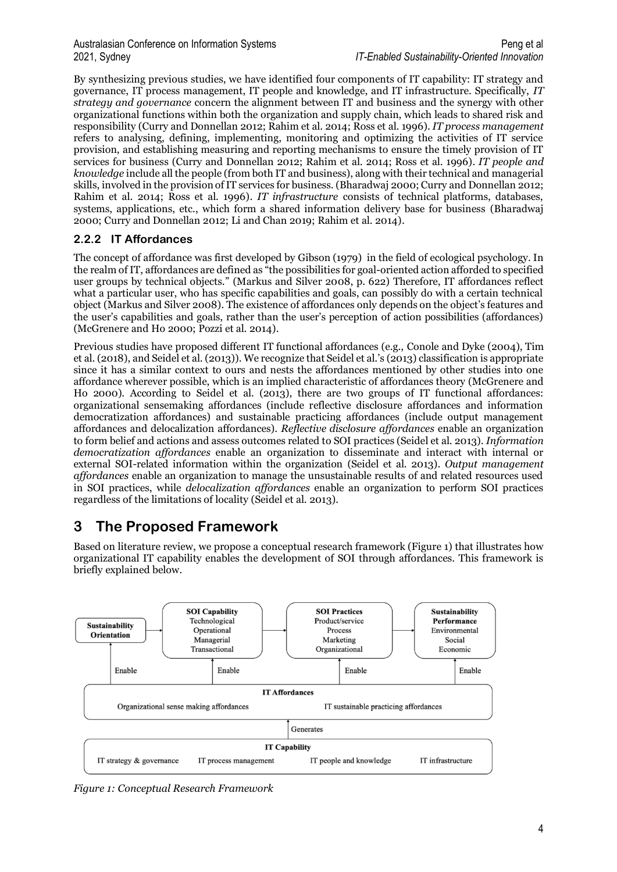By synthesizing previous studies, we have identified four components of IT capability: IT strategy and governance, IT process management, IT people and knowledge, and IT infrastructure. Specifically, *IT strategy and governance* concern the alignment between IT and business and the synergy with other organizational functions within both the organization and supply chain, which leads to shared risk and responsibility (Curry and Donnellan 2012; Rahim et al. 2014; Ross et al. 1996). *IT process management* refers to analysing, defining, implementing, monitoring and optimizing the activities of IT service provision, and establishing measuring and reporting mechanisms to ensure the timely provision of IT services for business (Curry and Donnellan 2012; Rahim et al. 2014; Ross et al. 1996). *IT people and knowledge* include all the people (from both IT and business), along with their technical and managerial skills, involved in the provision of IT services for business. (Bharadwaj 2000; Curry and Donnellan 2012; Rahim et al. 2014; Ross et al. 1996). *IT infrastructure* consists of technical platforms, databases, systems, applications, etc., which form a shared information delivery base for business (Bharadwaj 2000; Curry and Donnellan 2012; Li and Chan 2019; Rahim et al. 2014).

### **2.2.2 IT Affordances**

The concept of affordance was first developed by Gibson (1979) in the field of ecological psychology. In the realm of IT, affordances are defined as "the possibilities for goal-oriented action afforded to specified user groups by technical objects." (Markus and Silver 2008, p. 622) Therefore, IT affordances reflect what a particular user, who has specific capabilities and goals, can possibly do with a certain technical object (Markus and Silver 2008). The existence of affordances only depends on the object's features and the user's capabilities and goals, rather than the user's perception of action possibilities (affordances) (McGrenere and Ho 2000; Pozzi et al. 2014).

Previous studies have proposed different IT functional affordances (e.g., Conole and Dyke (2004), Tim et al. (2018), and Seidel et al. (2013)). We recognize that Seidel et al.'s (2013) classification is appropriate since it has a similar context to ours and nests the affordances mentioned by other studies into one affordance wherever possible, which is an implied characteristic of affordances theory (McGrenere and Ho 2000). According to Seidel et al. (2013), there are two groups of IT functional affordances: organizational sensemaking affordances (include reflective disclosure affordances and information democratization affordances) and sustainable practicing affordances (include output management affordances and delocalization affordances). *Reflective disclosure affordances* enable an organization to form belief and actions and assess outcomes related to SOI practices (Seidel et al. 2013). *Information democratization affordances* enable an organization to disseminate and interact with internal or external SOI-related information within the organization (Seidel et al. 2013). *Output management affordances* enable an organization to manage the unsustainable results of and related resources used in SOI practices, while *delocalization affordances* enable an organization to perform SOI practices regardless of the limitations of locality (Seidel et al. 2013).

## **3 The Proposed Framework**

Based on literature review, we propose a conceptual research framework (Figure 1) that illustrates how organizational IT capability enables the development of SOI through affordances. This framework is briefly explained below.



*Figure 1: Conceptual Research Framework*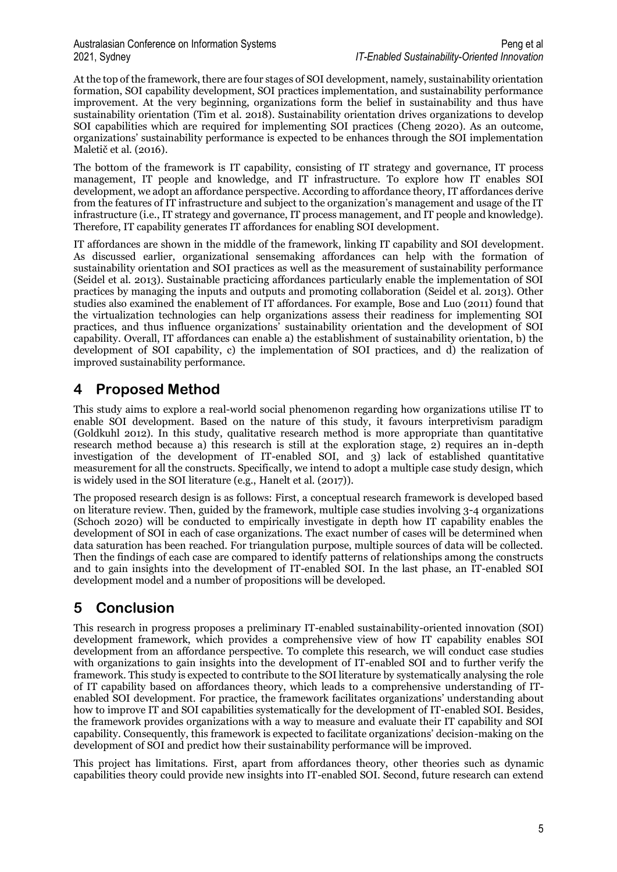At the top of the framework, there are four stages of SOI development, namely, sustainability orientation formation, SOI capability development, SOI practices implementation, and sustainability performance improvement. At the very beginning, organizations form the belief in sustainability and thus have sustainability orientation (Tim et al. 2018). Sustainability orientation drives organizations to develop SOI capabilities which are required for implementing SOI practices (Cheng 2020). As an outcome, organizations' sustainability performance is expected to be enhances through the SOI implementation Maletič et al. (2016).

The bottom of the framework is IT capability, consisting of IT strategy and governance, IT process management, IT people and knowledge, and IT infrastructure. To explore how IT enables SOI development, we adopt an affordance perspective. According to affordance theory, IT affordances derive from the features of IT infrastructure and subject to the organization's management and usage of the IT infrastructure (i.e., IT strategy and governance, IT process management, and IT people and knowledge). Therefore, IT capability generates IT affordances for enabling SOI development.

IT affordances are shown in the middle of the framework, linking IT capability and SOI development. As discussed earlier, organizational sensemaking affordances can help with the formation of sustainability orientation and SOI practices as well as the measurement of sustainability performance (Seidel et al. 2013). Sustainable practicing affordances particularly enable the implementation of SOI practices by managing the inputs and outputs and promoting collaboration (Seidel et al. 2013). Other studies also examined the enablement of IT affordances. For example, Bose and Luo (2011) found that the virtualization technologies can help organizations assess their readiness for implementing SOI practices, and thus influence organizations' sustainability orientation and the development of SOI capability. Overall, IT affordances can enable a) the establishment of sustainability orientation, b) the development of SOI capability, c) the implementation of SOI practices, and d) the realization of improved sustainability performance.

### **4 Proposed Method**

This study aims to explore a real-world social phenomenon regarding how organizations utilise IT to enable SOI development. Based on the nature of this study, it favours interpretivism paradigm (Goldkuhl 2012). In this study, qualitative research method is more appropriate than quantitative research method because a) this research is still at the exploration stage, 2) requires an in-depth investigation of the development of IT-enabled SOI, and 3) lack of established quantitative measurement for all the constructs. Specifically, we intend to adopt a multiple case study design, which is widely used in the SOI literature (e.g., Hanelt et al. (2017)).

The proposed research design is as follows: First, a conceptual research framework is developed based on literature review. Then, guided by the framework, multiple case studies involving 3-4 organizations (Schoch 2020) will be conducted to empirically investigate in depth how IT capability enables the development of SOI in each of case organizations. The exact number of cases will be determined when data saturation has been reached. For triangulation purpose, multiple sources of data will be collected. Then the findings of each case are compared to identify patterns of relationships among the constructs and to gain insights into the development of IT-enabled SOI. In the last phase, an IT-enabled SOI development model and a number of propositions will be developed.

# **5 Conclusion**

This research in progress proposes a preliminary IT-enabled sustainability-oriented innovation (SOI) development framework, which provides a comprehensive view of how IT capability enables SOI development from an affordance perspective. To complete this research, we will conduct case studies with organizations to gain insights into the development of IT-enabled SOI and to further verify the framework. This study is expected to contribute to the SOIliterature by systematically analysing the role of IT capability based on affordances theory, which leads to a comprehensive understanding of ITenabled SOI development. For practice, the framework facilitates organizations' understanding about how to improve IT and SOI capabilities systematically for the development of IT-enabled SOI. Besides, the framework provides organizations with a way to measure and evaluate their IT capability and SOI capability. Consequently, this framework is expected to facilitate organizations' decision-making on the development of SOI and predict how their sustainability performance will be improved.

This project has limitations. First, apart from affordances theory, other theories such as dynamic capabilities theory could provide new insights into IT-enabled SOI. Second, future research can extend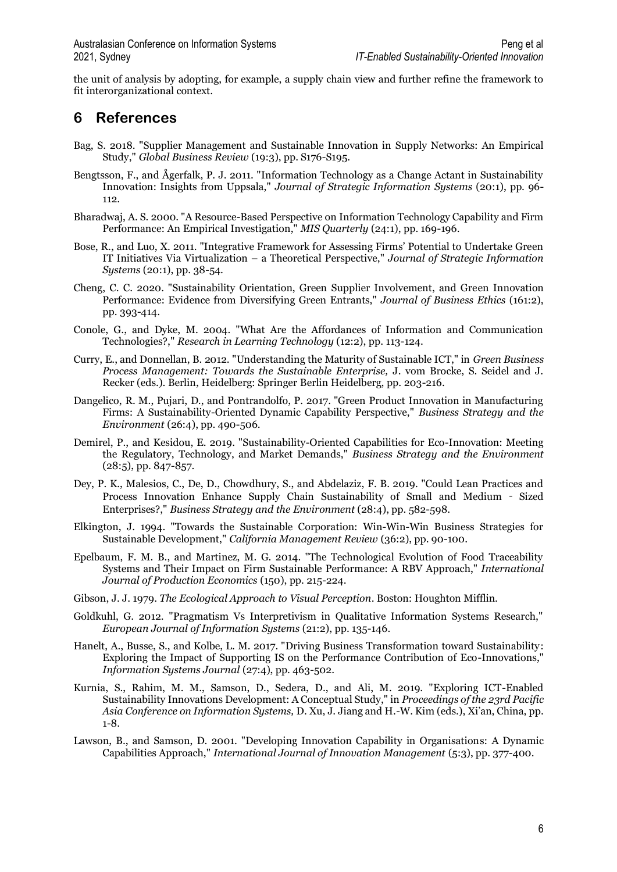the unit of analysis by adopting, for example, a supply chain view and further refine the framework to fit interorganizational context.

### **6 References**

- Bag, S. 2018. "Supplier Management and Sustainable Innovation in Supply Networks: An Empirical Study," *Global Business Review* (19:3), pp. S176-S195.
- Bengtsson, F., and Ågerfalk, P. J. 2011. "Information Technology as a Change Actant in Sustainability Innovation: Insights from Uppsala," *Journal of Strategic Information Systems* (20:1), pp. 96- 112.
- Bharadwaj, A. S. 2000. "A Resource-Based Perspective on Information Technology Capability and Firm Performance: An Empirical Investigation," *MIS Quarterly* (24:1), pp. 169-196.
- Bose, R., and Luo, X. 2011. "Integrative Framework for Assessing Firms' Potential to Undertake Green IT Initiatives Via Virtualization – a Theoretical Perspective," *Journal of Strategic Information Systems* (20:1), pp. 38-54.
- Cheng, C. C. 2020. "Sustainability Orientation, Green Supplier Involvement, and Green Innovation Performance: Evidence from Diversifying Green Entrants," *Journal of Business Ethics* (161:2), pp. 393-414.
- Conole, G., and Dyke, M. 2004. "What Are the Affordances of Information and Communication Technologies?," *Research in Learning Technology* (12:2), pp. 113-124.
- Curry, E., and Donnellan, B. 2012. "Understanding the Maturity of Sustainable ICT," in *Green Business Process Management: Towards the Sustainable Enterprise,* J. vom Brocke, S. Seidel and J. Recker (eds.). Berlin, Heidelberg: Springer Berlin Heidelberg, pp. 203-216.
- Dangelico, R. M., Pujari, D., and Pontrandolfo, P. 2017. "Green Product Innovation in Manufacturing Firms: A Sustainability-Oriented Dynamic Capability Perspective," *Business Strategy and the Environment* (26:4), pp. 490-506.
- Demirel, P., and Kesidou, E. 2019. "Sustainability-Oriented Capabilities for Eco-Innovation: Meeting the Regulatory, Technology, and Market Demands," *Business Strategy and the Environment* (28:5), pp. 847-857.
- Dey, P. K., Malesios, C., De, D., Chowdhury, S., and Abdelaziz, F. B. 2019. "Could Lean Practices and Process Innovation Enhance Supply Chain Sustainability of Small and Medium ‐ Sized Enterprises?," *Business Strategy and the Environment* (28:4), pp. 582-598.
- Elkington, J. 1994. "Towards the Sustainable Corporation: Win-Win-Win Business Strategies for Sustainable Development," *California Management Review* (36:2), pp. 90-100.
- Epelbaum, F. M. B., and Martinez, M. G. 2014. "The Technological Evolution of Food Traceability Systems and Their Impact on Firm Sustainable Performance: A RBV Approach," *International Journal of Production Economics* (150), pp. 215-224.
- Gibson, J. J. 1979. *The Ecological Approach to Visual Perception*. Boston: Houghton Mifflin.
- Goldkuhl, G. 2012. "Pragmatism Vs Interpretivism in Qualitative Information Systems Research," *European Journal of Information Systems* (21:2), pp. 135-146.
- Hanelt, A., Busse, S., and Kolbe, L. M. 2017. "Driving Business Transformation toward Sustainability: Exploring the Impact of Supporting IS on the Performance Contribution of Eco-Innovations," *Information Systems Journal* (27:4), pp. 463-502.
- Kurnia, S., Rahim, M. M., Samson, D., Sedera, D., and Ali, M. 2019. "Exploring ICT-Enabled Sustainability Innovations Development: A Conceptual Study," in *Proceedings of the 23rd Pacific Asia Conference on Information Systems,* D. Xu, J. Jiang and H.-W. Kim (eds.), Xi'an, China, pp. 1-8.
- Lawson, B., and Samson, D. 2001. "Developing Innovation Capability in Organisations: A Dynamic Capabilities Approach," *International Journal of Innovation Management* (5:3), pp. 377-400.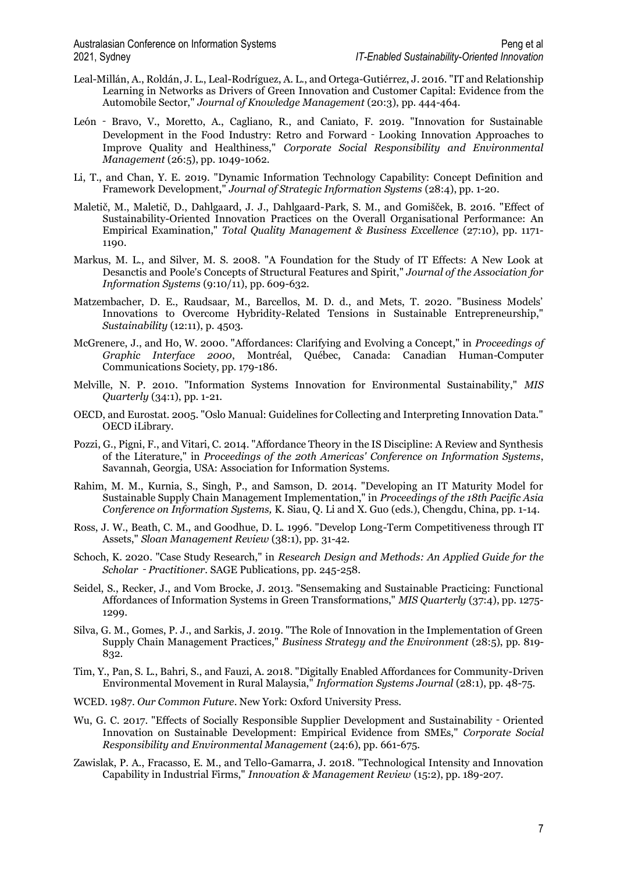- Leal-Millán, A., Roldán, J. L., Leal-Rodríguez, A. L., and Ortega-Gutiérrez, J. 2016. "IT and Relationship Learning in Networks as Drivers of Green Innovation and Customer Capital: Evidence from the Automobile Sector," *Journal of Knowledge Management* (20:3), pp. 444-464.
- León ‐ Bravo, V., Moretto, A., Cagliano, R., and Caniato, F. 2019. "Innovation for Sustainable Development in the Food Industry: Retro and Forward‐Looking Innovation Approaches to Improve Quality and Healthiness," *Corporate Social Responsibility and Environmental Management* (26:5), pp. 1049-1062.
- Li, T., and Chan, Y. E. 2019. "Dynamic Information Technology Capability: Concept Definition and Framework Development," *Journal of Strategic Information Systems* (28:4), pp. 1-20.
- Maletič, M., Maletič, D., Dahlgaard, J. J., Dahlgaard-Park, S. M., and Gomišček, B. 2016. "Effect of Sustainability-Oriented Innovation Practices on the Overall Organisational Performance: An Empirical Examination," *Total Quality Management & Business Excellence* (27:10), pp. 1171- 1190.
- Markus, M. L., and Silver, M. S. 2008. "A Foundation for the Study of IT Effects: A New Look at Desanctis and Poole's Concepts of Structural Features and Spirit," *Journal of the Association for Information Systems* (9:10/11), pp. 609-632.
- Matzembacher, D. E., Raudsaar, M., Barcellos, M. D. d., and Mets, T. 2020. "Business Models' Innovations to Overcome Hybridity-Related Tensions in Sustainable Entrepreneurship," *Sustainability* (12:11), p. 4503.
- McGrenere, J., and Ho, W. 2000. "Affordances: Clarifying and Evolving a Concept," in *Proceedings of Graphic Interface 2000*, Montréal, Québec, Canada: Canadian Human-Computer Communications Society, pp. 179-186.
- Melville, N. P. 2010. "Information Systems Innovation for Environmental Sustainability," *MIS Quarterly* (34:1), pp. 1-21.
- OECD, and Eurostat. 2005. "Oslo Manual: Guidelines for Collecting and Interpreting Innovation Data." OECD iLibrary.
- Pozzi, G., Pigni, F., and Vitari, C. 2014. "Affordance Theory in the IS Discipline: A Review and Synthesis of the Literature," in *Proceedings of the 20th Americas' Conference on Information Systems*, Savannah, Georgia, USA: Association for Information Systems.
- Rahim, M. M., Kurnia, S., Singh, P., and Samson, D. 2014. "Developing an IT Maturity Model for Sustainable Supply Chain Management Implementation," in *Proceedings of the 18th Pacific Asia Conference on Information Systems,* K. Siau, Q. Li and X. Guo (eds.), Chengdu, China, pp. 1-14.
- Ross, J. W., Beath, C. M., and Goodhue, D. L. 1996. "Develop Long-Term Competitiveness through IT Assets," *Sloan Management Review* (38:1), pp. 31-42.
- Schoch, K. 2020. "Case Study Research," in *Research Design and Methods: An Applied Guide for the Scholar*‐*Practitioner*. SAGE Publications, pp. 245-258.
- Seidel, S., Recker, J., and Vom Brocke, J. 2013. "Sensemaking and Sustainable Practicing: Functional Affordances of Information Systems in Green Transformations," *MIS Quarterly* (37:4), pp. 1275- 1299.
- Silva, G. M., Gomes, P. J., and Sarkis, J. 2019. "The Role of Innovation in the Implementation of Green Supply Chain Management Practices," *Business Strategy and the Environment* (28:5), pp. 819- 832.
- Tim, Y., Pan, S. L., Bahri, S., and Fauzi, A. 2018. "Digitally Enabled Affordances for Community-Driven Environmental Movement in Rural Malaysia," *Information Systems Journal* (28:1), pp. 48-75.
- WCED. 1987. *Our Common Future*. New York: Oxford University Press.
- Wu, G. C. 2017. "Effects of Socially Responsible Supplier Development and Sustainability Oriented Innovation on Sustainable Development: Empirical Evidence from SMEs," *Corporate Social Responsibility and Environmental Management* (24:6), pp. 661-675.
- Zawislak, P. A., Fracasso, E. M., and Tello-Gamarra, J. 2018. "Technological Intensity and Innovation Capability in Industrial Firms," *Innovation & Management Review* (15:2), pp. 189-207.